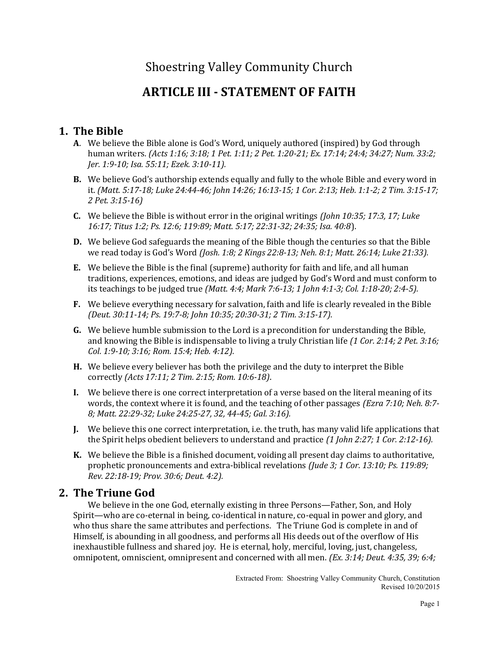# Shoestring Valley Community Church

# ARTICLE III - STATEMENT OF FAITH

# 1. The Bible

- A. We believe the Bible alone is God's Word, uniquely authored (inspired) by God through human writers. (Acts 1:16; 3:18; 1 Pet. 1:11; 2 Pet. 1:20-21; Ex. 17:14; 24:4; 34:27; Num. 33:2; Jer. 1:9-10; Isa. 55:11; Ezek. 3:10-11).
- B. We believe God's authorship extends equally and fully to the whole Bible and every word in it. (Matt. 5:17-18; Luke 24:44-46; John 14:26; 16:13-15; 1 Cor. 2:13; Heb. 1:1-2; 2 Tim. 3:15-17; 2 Pet. 3:15-16)
- **C.** We believe the Bible is without error in the original writings *(John 10:35; 17:3, 17; Luke* 16:17; Titus 1:2; Ps. 12:6; 119:89; Matt. 5:17; 22:31-32; 24:35; Isa. 40:8).
- D. We believe God safeguards the meaning of the Bible though the centuries so that the Bible we read today is God's Word (Josh. 1:8; 2 Kings 22:8-13; Neh. 8:1; Matt. 26:14; Luke 21:33).
- E. We believe the Bible is the final (supreme) authority for faith and life, and all human traditions, experiences, emotions, and ideas are judged by God's Word and must conform to its teachings to be judged true (Matt. 4:4; Mark 7:6-13; 1 John 4:1-3; Col. 1:18-20; 2:4-5).
- F. We believe everything necessary for salvation, faith and life is clearly revealed in the Bible (Deut. 30:11-14; Ps. 19:7-8; John 10:35; 20:30-31; 2 Tim. 3:15-17).
- G. We believe humble submission to the Lord is a precondition for understanding the Bible, and knowing the Bible is indispensable to living a truly Christian life (1 Cor. 2:14; 2 Pet. 3:16; Col. 1:9-10; 3:16; Rom. 15:4; Heb. 4:12).
- H. We believe every believer has both the privilege and the duty to interpret the Bible correctly (Acts 17:11; 2 Tim. 2:15; Rom. 10:6-18).
- I. We believe there is one correct interpretation of a verse based on the literal meaning of its words, the context where it is found, and the teaching of other passages (Ezra 7:10; Neh. 8:7-8; Matt. 22:29-32; Luke 24:25-27, 32, 44-45; Gal. 3:16).
- J. We believe this one correct interpretation, i.e. the truth, has many valid life applications that the Spirit helps obedient believers to understand and practice (1 John 2:27; 1 Cor. 2:12-16).
- K. We believe the Bible is a finished document, voiding all present day claims to authoritative, prophetic pronouncements and extra-biblical revelations (Jude 3; 1 Cor. 13:10; Ps. 119:89; Rev. 22:18-19; Prov. 30:6; Deut. 4:2).

## 2. The Triune God

 We believe in the one God, eternally existing in three Persons—Father, Son, and Holy Spirit—who are co-eternal in being, co-identical in nature, co-equal in power and glory, and who thus share the same attributes and perfections. The Triune God is complete in and of Himself, is abounding in all goodness, and performs all His deeds out of the overflow of His inexhaustible fullness and shared joy. He is eternal, holy, merciful, loving, just, changeless, omnipotent, omniscient, omnipresent and concerned with all men. (Ex. 3:14; Deut. 4:35, 39; 6:4;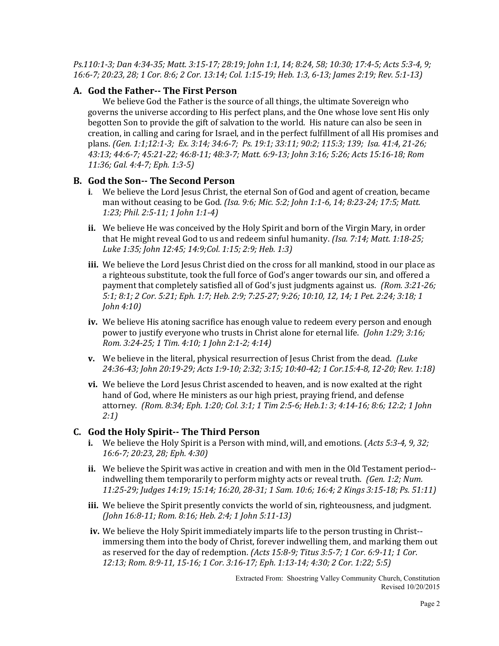Ps.110:1-3; Dan 4:34-35; Matt. 3:15-17; 28:19; John 1:1, 14; 8:24, 58; 10:30; 17:4-5; Acts 5:3-4, 9; 16:6-7; 20:23, 28; 1 Cor. 8:6; 2 Cor. 13:14; Col. 1:15-19; Heb. 1:3, 6-13; James 2:19; Rev. 5:1-13)

#### A. God the Father-- The First Person

 We believe God the Father is the source of all things, the ultimate Sovereign who governs the universe according to His perfect plans, and the One whose love sent His only begotten Son to provide the gift of salvation to the world. His nature can also be seen in creation, in calling and caring for Israel, and in the perfect fulfillment of all His promises and plans. (Gen. 1:1;12:1-3; Ex. 3:14; 34:6-7; Ps. 19:1; 33:11; 90:2; 115:3; 139; Isa. 41:4, 21-26; 43:13; 44:6-7; 45:21-22; 46:8-11; 48:3-7; Matt. 6:9-13; John 3:16; 5:26; Acts 15:16-18; Rom 11:36; Gal. 4:4-7; Eph. 1:3-5)

#### B. God the Son-- The Second Person

- i. We believe the Lord Jesus Christ, the eternal Son of God and agent of creation, became man without ceasing to be God. (Isa. 9:6; Mic. 5:2; John 1:1-6, 14; 8:23-24; 17:5; Matt. 1:23; Phil. 2:5-11; 1 John 1:1-4)
- ii. We believe He was conceived by the Holy Spirit and born of the Virgin Mary, in order that He might reveal God to us and redeem sinful humanity. *(Isa. 7:14; Matt. 1:18-25;* Luke 1:35; John 12:45; 14:9;Col. 1:15; 2:9; Heb. 1:3)
- iii. We believe the Lord Jesus Christ died on the cross for all mankind, stood in our place as a righteous substitute, took the full force of God's anger towards our sin, and offered a payment that completely satisfied all of God's just judgments against us. (Rom. 3:21-26; 5:1; 8:1; 2 Cor. 5:21; Eph. 1:7; Heb. 2:9; 7:25-27; 9:26; 10:10, 12, 14; 1 Pet. 2:24; 3:18; 1 John 4:10)
- iv. We believe His atoning sacrifice has enough value to redeem every person and enough power to justify everyone who trusts in Christ alone for eternal life. *(John 1:29; 3:16;* Rom. 3:24-25; 1 Tim. 4:10; 1 John 2:1-2; 4:14)
- v. We believe in the literal, physical resurrection of Jesus Christ from the dead. (Luke 24:36-43; John 20:19-29; Acts 1:9-10; 2:32; 3:15; 10:40-42; 1 Cor.15:4-8, 12-20; Rev. 1:18)
- vi. We believe the Lord Jesus Christ ascended to heaven, and is now exalted at the right hand of God, where He ministers as our high priest, praying friend, and defense attorney. (Rom. 8:34; Eph. 1:20; Col. 3:1; 1 Tim 2:5-6; Heb.1: 3; 4:14-16; 8:6; 12:2; 1 John 2:1)

#### C. God the Holy Spirit-- The Third Person

- **i.** We believe the Holy Spirit is a Person with mind, will, and emotions. (*Acts 5:3-4, 9, 32;* 16:6-7; 20:23, 28; Eph. 4:30)
- ii. We believe the Spirit was active in creation and with men in the Old Testament period- indwelling them temporarily to perform mighty acts or reveal truth. (Gen. 1:2; Num. 11:25-29; Judges 14:19; 15:14; 16:20, 28-31; 1 Sam. 10:6; 16:4; 2 Kings 3:15-18; Ps. 51:11)
- iii. We believe the Spirit presently convicts the world of sin, righteousness, and judgment. (John 16:8-11; Rom. 8:16; Heb. 2:4; 1 John 5:11-13)
- iv. We believe the Holy Spirit immediately imparts life to the person trusting in Christ- immersing them into the body of Christ, forever indwelling them, and marking them out as reserved for the day of redemption. (Acts 15:8-9; Titus 3:5-7; 1 Cor. 6:9-11; 1 Cor. 12:13; Rom. 8:9-11, 15-16; 1 Cor. 3:16-17; Eph. 1:13-14; 4:30; 2 Cor. 1:22; 5:5)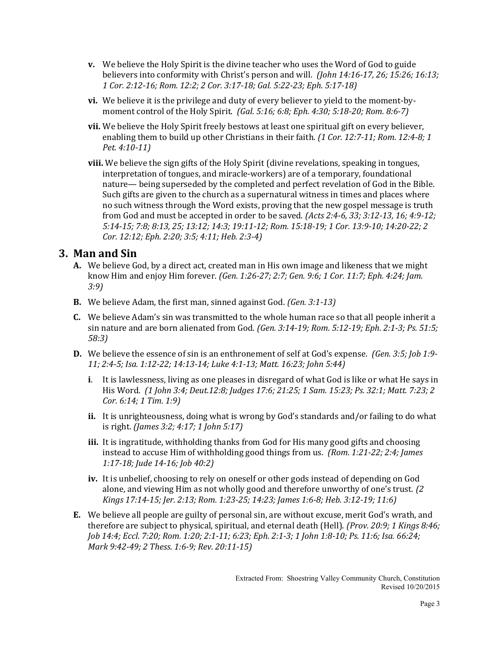- v. We believe the Holy Spirit is the divine teacher who uses the Word of God to guide believers into conformity with Christ's person and will. *(John 14:16-17, 26; 15:26; 16:13;* 1 Cor. 2:12-16; Rom. 12:2; 2 Cor. 3:17-18; Gal. 5:22-23; Eph. 5:17-18)
- vi. We believe it is the privilege and duty of every believer to yield to the moment-bymoment control of the Holy Spirit. (Gal. 5:16; 6:8; Eph. 4:30; 5:18-20; Rom. 8:6-7)
- vii. We believe the Holy Spirit freely bestows at least one spiritual gift on every believer, enabling them to build up other Christians in their faith. (1 Cor. 12:7-11; Rom. 12:4-8; 1 Pet. 4:10-11)
- viii. We believe the sign gifts of the Holy Spirit (divine revelations, speaking in tongues, interpretation of tongues, and miracle-workers) are of a temporary, foundational nature— being superseded by the completed and perfect revelation of God in the Bible. Such gifts are given to the church as a supernatural witness in times and places where no such witness through the Word exists, proving that the new gospel message is truth from God and must be accepted in order to be saved. (Acts 2:4-6, 33; 3:12-13, 16; 4:9-12; 5:14-15; 7:8; 8:13, 25; 13:12; 14:3; 19:11-12; Rom. 15:18-19; 1 Cor. 13:9-10; 14:20-22; 2 Cor. 12:12; Eph. 2:20; 3:5; 4:11; Heb. 2:3-4)

#### 3. Man and Sin

- A. We believe God, by a direct act, created man in His own image and likeness that we might know Him and enjoy Him forever. (Gen. 1:26-27; 2:7; Gen. 9:6; 1 Cor. 11:7; Eph. 4:24; Jam. 3:9)
- **B.** We believe Adam, the first man, sinned against God. *(Gen. 3:1-13)*
- C. We believe Adam's sin was transmitted to the whole human race so that all people inherit a sin nature and are born alienated from God. (Gen. 3:14-19; Rom. 5:12-19; Eph. 2:1-3; Ps. 51:5; 58:3)
- **D.** We believe the essence of sin is an enthronement of self at God's expense. *(Gen. 3:5; Job 1:9-*11; 2:4-5; Isa. 1:12-22; 14:13-14; Luke 4:1-13; Matt. 16:23; John 5:44)
	- i. It is lawlessness, living as one pleases in disregard of what God is like or what He says in His Word. (1 John 3:4; Deut.12:8; Judges 17:6; 21:25; 1 Sam. 15:23; Ps. 32:1; Matt. 7:23; 2 Cor. 6:14; 1 Tim. 1:9)
	- ii. It is unrighteousness, doing what is wrong by God's standards and/or failing to do what is right. (James 3:2; 4:17; 1 John 5:17)
	- iii. It is ingratitude, withholding thanks from God for His many good gifts and choosing instead to accuse Him of withholding good things from us. (Rom. 1:21-22; 2:4; James 1:17-18; Jude 14-16; Job 40:2)
	- iv. It is unbelief, choosing to rely on oneself or other gods instead of depending on God alone, and viewing Him as not wholly good and therefore unworthy of one's trust. (2 Kings 17:14-15; Jer. 2:13; Rom. 1:23-25; 14:23; James 1:6-8; Heb. 3:12-19; 11:6)
- E. We believe all people are guilty of personal sin, are without excuse, merit God's wrath, and therefore are subject to physical, spiritual, and eternal death (Hell). (Prov. 20:9; 1 Kings 8:46; Job 14:4; Eccl. 7:20; Rom. 1:20; 2:1-11; 6:23; Eph. 2:1-3; 1 John 1:8-10; Ps. 11:6; Isa. 66:24; Mark 9:42-49; 2 Thess. 1:6-9; Rev. 20:11-15)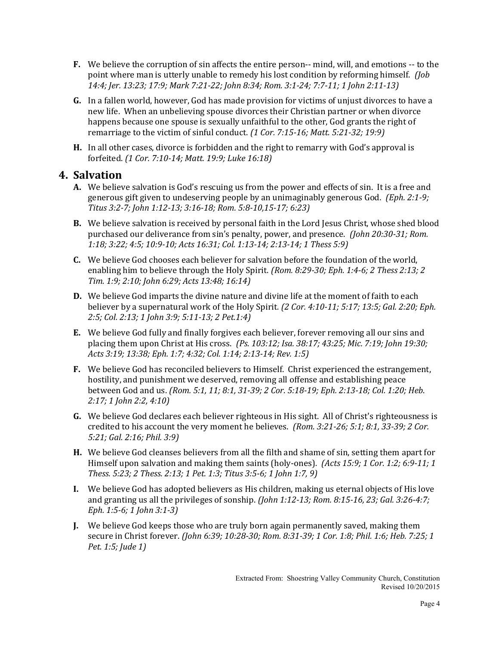- F. We believe the corruption of sin affects the entire person-- mind, will, and emotions -- to the point where man is utterly unable to remedy his lost condition by reforming himself. *(lob*) 14:4; Jer. 13:23; 17:9; Mark 7:21-22; John 8:34; Rom. 3:1-24; 7:7-11; 1 John 2:11-13)
- G. In a fallen world, however, God has made provision for victims of unjust divorces to have a new life. When an unbelieving spouse divorces their Christian partner or when divorce happens because one spouse is sexually unfaithful to the other, God grants the right of remarriage to the victim of sinful conduct. (1 Cor. 7:15-16; Matt. 5:21-32; 19:9)
- H. In all other cases, divorce is forbidden and the right to remarry with God's approval is forfeited. (1 Cor. 7:10-14; Matt. 19:9; Luke 16:18)

### 4. Salvation

- A. We believe salvation is God's rescuing us from the power and effects of sin. It is a free and generous gift given to undeserving people by an unimaginably generous God. (Eph. 2:1-9; Titus 3:2-7; John 1:12-13; 3:16-18; Rom. 5:8-10,15-17; 6:23)
- **B.** We believe salvation is received by personal faith in the Lord Jesus Christ, whose shed blood purchased our deliverance from sin's penalty, power, and presence. (John 20:30-31; Rom. 1:18; 3:22; 4:5; 10:9-10; Acts 16:31; Col. 1:13-14; 2:13-14; 1 Thess 5:9)
- C. We believe God chooses each believer for salvation before the foundation of the world, enabling him to believe through the Holy Spirit. (Rom. 8:29-30; Eph. 1:4-6; 2 Thess 2:13; 2 Tim. 1:9; 2:10; John 6:29; Acts 13:48; 16:14)
- D. We believe God imparts the divine nature and divine life at the moment of faith to each believer by a supernatural work of the Holy Spirit. (2 Cor. 4:10-11; 5:17; 13:5; Gal. 2:20; Eph. 2:5; Col. 2:13; 1 John 3:9; 5:11-13; 2 Pet.1:4)
- E. We believe God fully and finally forgives each believer, forever removing all our sins and placing them upon Christ at His cross. (Ps. 103:12; Isa. 38:17; 43:25; Mic. 7:19; John 19:30; Acts 3:19; 13:38; Eph. 1:7; 4:32; Col. 1:14; 2:13-14; Rev. 1:5)
- F. We believe God has reconciled believers to Himself. Christ experienced the estrangement, hostility, and punishment we deserved, removing all offense and establishing peace between God and us. (Rom. 5:1, 11; 8:1, 31-39; 2 Cor. 5:18-19; Eph. 2:13-18; Col. 1:20; Heb. 2:17; 1 John 2:2, 4:10)
- G. We believe God declares each believer righteous in His sight. All of Christ's righteousness is credited to his account the very moment he believes. (Rom. 3:21-26; 5:1; 8:1, 33-39; 2 Cor. 5:21; Gal. 2:16; Phil. 3:9)
- H. We believe God cleanses believers from all the filth and shame of sin, setting them apart for Himself upon salvation and making them saints (holy-ones). (Acts 15:9; 1 Cor. 1:2; 6:9-11; 1 Thess. 5:23; 2 Thess. 2:13; 1 Pet. 1:3; Titus 3:5-6; 1 John 1:7, 9)
- I. We believe God has adopted believers as His children, making us eternal objects of His love and granting us all the privileges of sonship. (John 1:12-13; Rom. 8:15-16, 23; Gal. 3:26-4:7; Eph. 1:5-6; 1 John 3:1-3)
- J. We believe God keeps those who are truly born again permanently saved, making them secure in Christ forever. (John 6:39; 10:28-30; Rom. 8:31-39; 1 Cor. 1:8; Phil. 1:6; Heb. 7:25; 1 Pet. 1:5; Jude 1)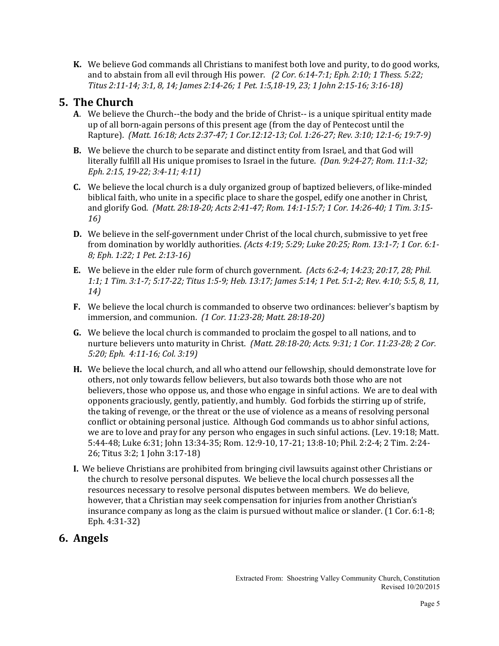K. We believe God commands all Christians to manifest both love and purity, to do good works, and to abstain from all evil through His power. (2 Cor. 6:14-7:1; Eph. 2:10; 1 Thess. 5:22; Titus 2:11-14; 3:1, 8, 14; James 2:14-26; 1 Pet. 1:5,18-19, 23; 1 John 2:15-16; 3:16-18)

## 5. The Church

- A. We believe the Church--the body and the bride of Christ-- is a unique spiritual entity made up of all born-again persons of this present age (from the day of Pentecost until the Rapture). (Matt. 16:18; Acts 2:37-47; 1 Cor.12:12-13; Col. 1:26-27; Rev. 3:10; 12:1-6; 19:7-9)
- B. We believe the church to be separate and distinct entity from Israel, and that God will literally fulfill all His unique promises to Israel in the future. *(Dan. 9:24-27; Rom. 11:1-32;* Eph. 2:15, 19-22; 3:4-11; 4:11)
- C. We believe the local church is a duly organized group of baptized believers, of like-minded biblical faith, who unite in a specific place to share the gospel, edify one another in Christ, and glorify God. (Matt. 28:18-20; Acts 2:41-47; Rom. 14:1-15:7; 1 Cor. 14:26-40; 1 Tim. 3:15- 16)
- D. We believe in the self-government under Christ of the local church, submissive to yet free from domination by worldly authorities. (Acts 4:19; 5:29; Luke 20:25; Rom. 13:1-7; 1 Cor. 6:1- 8; Eph. 1:22; 1 Pet. 2:13-16)
- **E.** We believe in the elder rule form of church government.  $Acts 6:2-4; 14:23; 20:17, 28; 40:10$ 1:1; 1 Tim. 3:1-7; 5:17-22; Titus 1:5-9; Heb. 13:17; James 5:14; 1 Pet. 5:1-2; Rev. 4:10; 5:5, 8, 11, 14)
- F. We believe the local church is commanded to observe two ordinances: believer's baptism by immersion, and communion. (1 Cor. 11:23-28; Matt. 28:18-20)
- G. We believe the local church is commanded to proclaim the gospel to all nations, and to nurture believers unto maturity in Christ. (Matt. 28:18-20; Acts. 9:31; 1 Cor. 11:23-28; 2 Cor. 5:20; Eph. 4:11-16; Col. 3:19)
- H. We believe the local church, and all who attend our fellowship, should demonstrate love for others, not only towards fellow believers, but also towards both those who are not believers, those who oppose us, and those who engage in sinful actions. We are to deal with opponents graciously, gently, patiently, and humbly. God forbids the stirring up of strife, the taking of revenge, or the threat or the use of violence as a means of resolving personal conflict or obtaining personal justice. Although God commands us to abhor sinful actions, we are to love and pray for any person who engages in such sinful actions. (Lev. 19:18; Matt. 5:44-48; Luke 6:31; John 13:34-35; Rom. 12:9-10, 17-21; 13:8-10; Phil. 2:2-4; 2 Tim. 2:24- 26; Titus 3:2; 1 John 3:17-18)
- I. We believe Christians are prohibited from bringing civil lawsuits against other Christians or the church to resolve personal disputes. We believe the local church possesses all the resources necessary to resolve personal disputes between members. We do believe, however, that a Christian may seek compensation for injuries from another Christian's insurance company as long as the claim is pursued without malice or slander. (1 Cor. 6:1-8; Eph. 4:31-32)

# 6. Angels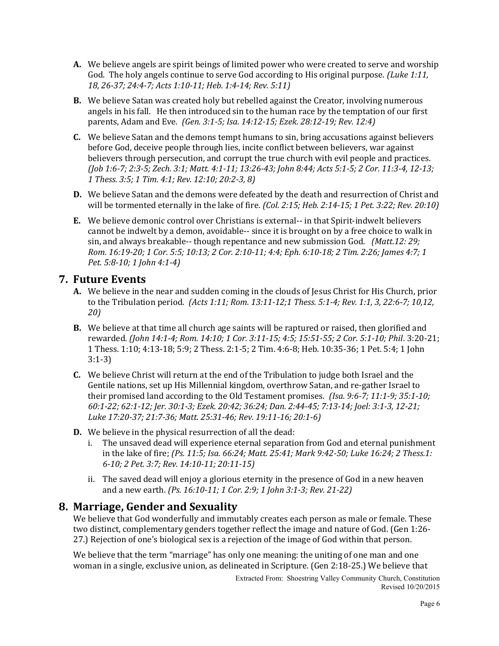- A. We believe angels are spirit beings of limited power who were created to serve and worship God. The holy angels continue to serve God according to His original purpose. (Luke 1:11, 18, 26-37; 24:4-7; Acts 1:10-11; Heb. 1:4-14; Rev. 5:11)
- B. We believe Satan was created holy but rebelled against the Creator, involving numerous angels in his fall. He then introduced sin to the human race by the temptation of our first parents, Adam and Eve. (Gen. 3:1-5; Isa. 14:12-15; Ezek. 28:12-19; Rev. 12:4)
- C. We believe Satan and the demons tempt humans to sin, bring accusations against believers before God, deceive people through lies, incite conflict between believers, war against believers through persecution, and corrupt the true church with evil people and practices. (Job 1:6-7; 2:3-5; Zech. 3:1; Matt. 4:1-11; 13:26-43; John 8:44; Acts 5:1-5; 2 Cor. 11:3-4, 12-13; 1 Thess. 3:5; 1 Tim. 4:1; Rev. 12:10; 20:2-3, 8)
- D. We believe Satan and the demons were defeated by the death and resurrection of Christ and will be tormented eternally in the lake of fire. (Col. 2:15; Heb. 2:14-15; 1 Pet. 3:22; Rev. 20:10)
- E. We believe demonic control over Christians is external-- in that Spirit-indwelt believers cannot be indwelt by a demon, avoidable-- since it is brought on by a free choice to walk in sin, and always breakable-- though repentance and new submission God. (Matt.12: 29; Rom. 16:19-20; 1 Cor. 5:5; 10:13; 2 Cor. 2:10-11; 4:4; Eph. 6:10-18; 2 Tim. 2:26; James 4:7; 1 Pet. 5:8-10; 1 John 4:1-4)

### 7. Future Events

- A. We believe in the near and sudden coming in the clouds of Jesus Christ for His Church, prior to the Tribulation period. (Acts 1:11; Rom. 13:11-12;1 Thess. 5:1-4; Rev. 1:1, 3, 22:6-7; 10,12, 20)
- B. We believe at that time all church age saints will be raptured or raised, then glorified and rewarded. (John 14:1-4; Rom. 14:10; 1 Cor. 3:11-15; 4:5; 15:51-55; 2 Cor. 5:1-10; Phil. 3:20-21; 1 Thess. 1:10; 4:13-18; 5:9; 2 Thess. 2:1-5; 2 Tim. 4:6-8; Heb. 10:35-36; 1 Pet. 5:4; 1 John 3:1-3)
- C. We believe Christ will return at the end of the Tribulation to judge both Israel and the Gentile nations, set up His Millennial kingdom, overthrow Satan, and re-gather Israel to their promised land according to the Old Testament promises. *(Isa. 9:6-7; 11:1-9; 35:1-10;* 60:1-22; 62:1-12; Jer. 30:1-3; Ezek. 20:42; 36:24; Dan. 2:44-45; 7:13-14; Joel: 3:1-3, 12-21; Luke 17:20-37; 21:7-36; Matt. 25:31-46; Rev. 19:11-16; 20:1-6)
- D. We believe in the physical resurrection of all the dead:
	- i. The unsaved dead will experience eternal separation from God and eternal punishment in the lake of fire; (Ps. 11:5; Isa. 66:24; Matt. 25:41; Mark 9:42-50; Luke 16:24; 2 Thess.1: 6-10; 2 Pet. 3:7; Rev. 14:10-11; 20:11-15)
	- ii. The saved dead will enjoy a glorious eternity in the presence of God in a new heaven and a new earth. (Ps. 16:10-11; 1 Cor. 2:9; 1 John 3:1-3; Rev. 21-22)

#### 8. Marriage, Gender and Sexuality

We believe that God wonderfully and immutably creates each person as male or female. These two distinct, complementary genders together reflect the image and nature of God. (Gen 1:26- 27.) Rejection of one's biological sex is a rejection of the image of God within that person.

We believe that the term "marriage" has only one meaning: the uniting of one man and one woman in a single, exclusive union, as delineated in Scripture. (Gen 2:18-25.) We believe that